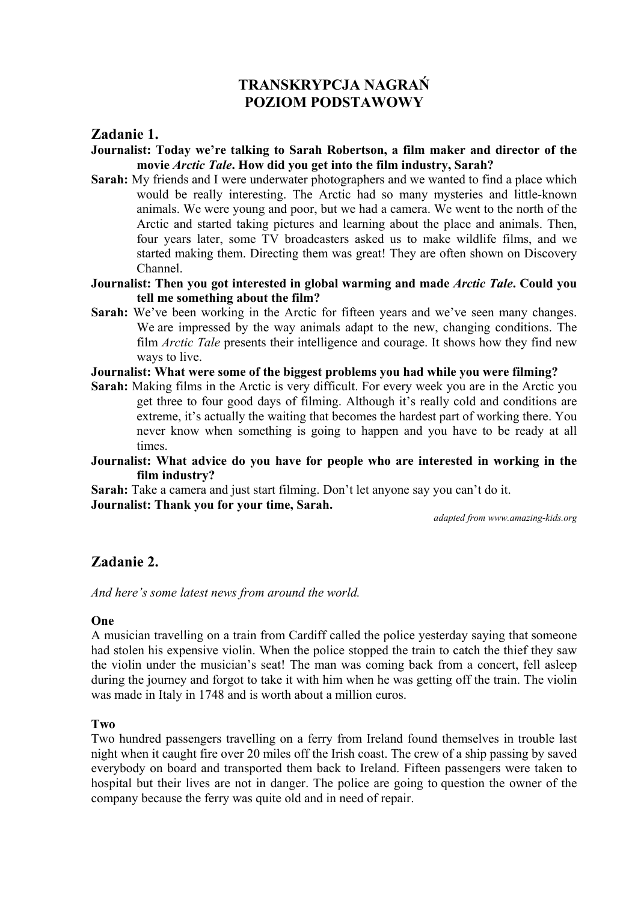# **TRANSKRYPCJA NAGRAŃ POZIOM PODSTAWOWY**

# **Zadanie 1.**

- **Journalist: Today we're talking to Sarah Robertson, a film maker and director of the movie** *Arctic Tale***. How did you get into the film industry, Sarah?**
- **Sarah:** My friends and I were underwater photographers and we wanted to find a place which would be really interesting. The Arctic had so many mysteries and little-known animals. We were young and poor, but we had a camera. We went to the north of the Arctic and started taking pictures and learning about the place and animals. Then, four years later, some TV broadcasters asked us to make wildlife films, and we started making them. Directing them was great! They are often shown on Discovery Channel.
- **Journalist: Then you got interested in global warming and made** *Arctic Tale***. Could you tell me something about the film?**
- **Sarah:** We've been working in the Arctic for fifteen years and we've seen many changes. We are impressed by the way animals adapt to the new, changing conditions. The film *Arctic Tale* presents their intelligence and courage. It shows how they find new ways to live.
- **Journalist: What were some of the biggest problems you had while you were filming?**
- **Sarah:** Making films in the Arctic is very difficult. For every week you are in the Arctic you get three to four good days of filming. Although it's really cold and conditions are extreme, it's actually the waiting that becomes the hardest part of working there. You never know when something is going to happen and you have to be ready at all times.
- **Journalist: What advice do you have for people who are interested in working in the film industry?**

**Sarah:** Take a camera and just start filming. Don't let anyone say you can't do it. **Journalist: Thank you for your time, Sarah.**

*adapted from www.amazing-kids.org* 

# **Zadanie 2.**

*And here's some latest news from around the world.* 

## **One**

A musician travelling on a train from Cardiff called the police yesterday saying that someone had stolen his expensive violin. When the police stopped the train to catch the thief they saw the violin under the musician's seat! The man was coming back from a concert, fell asleep during the journey and forgot to take it with him when he was getting off the train. The violin was made in Italy in 1748 and is worth about a million euros.

## **Two**

Two hundred passengers travelling on a ferry from Ireland found themselves in trouble last night when it caught fire over 20 miles off the Irish coast. The crew of a ship passing by saved everybody on board and transported them back to Ireland. Fifteen passengers were taken to hospital but their lives are not in danger. The police are going to question the owner of the company because the ferry was quite old and in need of repair.